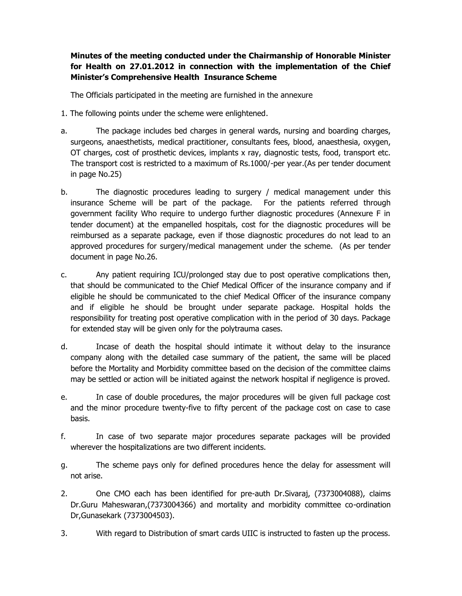**Minutes of the meeting conducted under the Chairmanship of Honorable Minister for Health on 27.01.2012 in connection with the implementation of the Chief Minister's Comprehensive Health Insurance Scheme**

The Officials participated in the meeting are furnished in the annexure

- 1. The following points under the scheme were enlightened.
- a. The package includes bed charges in general wards, nursing and boarding charges, surgeons, anaesthetists, medical practitioner, consultants fees, blood, anaesthesia, oxygen, OT charges, cost of prosthetic devices, implants x ray, diagnostic tests, food, transport etc. The transport cost is restricted to a maximum of Rs.1000/-per year.(As per tender document in page No.25)
- b. The diagnostic procedures leading to surgery / medical management under this insurance Scheme will be part of the package. For the patients referred through government facility Who require to undergo further diagnostic procedures (Annexure F in tender document) at the empanelled hospitals, cost for the diagnostic procedures will be reimbursed as a separate package, even if those diagnostic procedures do not lead to an approved procedures for surgery/medical management under the scheme. (As per tender document in page No.26.
- c. Any patient requiring ICU/prolonged stay due to post operative complications then, that should be communicated to the Chief Medical Officer of the insurance company and if eligible he should be communicated to the chief Medical Officer of the insurance company and if eligible he should be brought under separate package. Hospital holds the responsibility for treating post operative complication with in the period of 30 days. Package for extended stay will be given only for the polytrauma cases.
- d. Incase of death the hospital should intimate it without delay to the insurance company along with the detailed case summary of the patient, the same will be placed before the Mortality and Morbidity committee based on the decision of the committee claims may be settled or action will be initiated against the network hospital if negligence is proved.
- e. In case of double procedures, the major procedures will be given full package cost and the minor procedure twenty-five to fifty percent of the package cost on case to case basis.
- f. In case of two separate major procedures separate packages will be provided wherever the hospitalizations are two different incidents.
- g. The scheme pays only for defined procedures hence the delay for assessment will not arise.
- 2. One CMO each has been identified for pre-auth Dr.Sivaraj, (7373004088), claims Dr.Guru Maheswaran,(7373004366) and mortality and morbidity committee co-ordination Dr,Gunasekark (7373004503).
- 3. With regard to Distribution of smart cards UIIC is instructed to fasten up the process.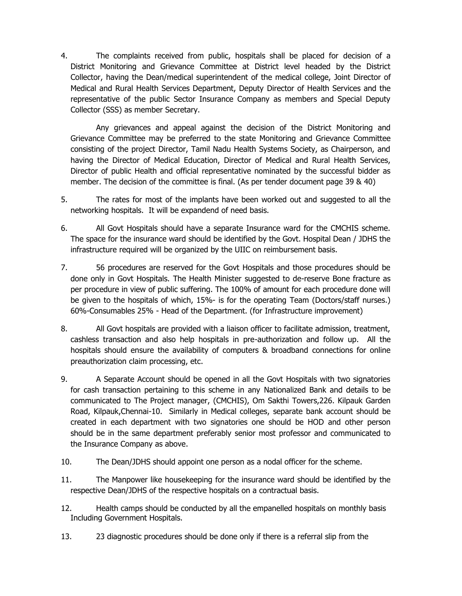4. The complaints received from public, hospitals shall be placed for decision of a District Monitoring and Grievance Committee at District level headed by the District Collector, having the Dean/medical superintendent of the medical college, Joint Director of Medical and Rural Health Services Department, Deputy Director of Health Services and the representative of the public Sector Insurance Company as members and Special Deputy Collector (SSS) as member Secretary.

Any grievances and appeal against the decision of the District Monitoring and Grievance Committee may be preferred to the state Monitoring and Grievance Committee consisting of the project Director, Tamil Nadu Health Systems Society, as Chairperson, and having the Director of Medical Education, Director of Medical and Rural Health Services, Director of public Health and official representative nominated by the successful bidder as member. The decision of the committee is final. (As per tender document page 39 & 40)

- 5. The rates for most of the implants have been worked out and suggested to all the networking hospitals. It will be expandend of need basis.
- 6. All Govt Hospitals should have a separate Insurance ward for the CMCHIS scheme. The space for the insurance ward should be identified by the Govt. Hospital Dean / JDHS the infrastructure required will be organized by the UIIC on reimbursement basis.
- 7. 56 procedures are reserved for the Govt Hospitals and those procedures should be done only in Govt Hospitals. The Health Minister suggested to de-reserve Bone fracture as per procedure in view of public suffering. The 100% of amount for each procedure done will be given to the hospitals of which, 15%- is for the operating Team (Doctors/staff nurses.) 60%-Consumables 25% - Head of the Department. (for Infrastructure improvement)
- 8. All Govt hospitals are provided with a liaison officer to facilitate admission, treatment, cashless transaction and also help hospitals in pre-authorization and follow up. All the hospitals should ensure the availability of computers & broadband connections for online preauthorization claim processing, etc.
- 9. A Separate Account should be opened in all the Govt Hospitals with two signatories for cash transaction pertaining to this scheme in any Nationalized Bank and details to be communicated to The Project manager, (CMCHIS), Om Sakthi Towers,226. Kilpauk Garden Road, Kilpauk,Chennai-10. Similarly in Medical colleges, separate bank account should be created in each department with two signatories one should be HOD and other person should be in the same department preferably senior most professor and communicated to the Insurance Company as above.
- 10. The Dean/JDHS should appoint one person as a nodal officer for the scheme.
- 11. The Manpower like housekeeping for the insurance ward should be identified by the respective Dean/JDHS of the respective hospitals on a contractual basis.
- 12. Health camps should be conducted by all the empanelled hospitals on monthly basis Including Government Hospitals.
- 13. 23 diagnostic procedures should be done only if there is a referral slip from the